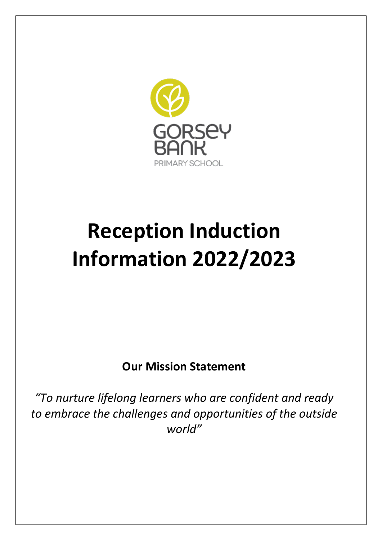

# **Reception Induction Information 2022/2023**

**Our Mission Statement**

*"To nurture lifelong learners who are confident and ready to embrace the challenges and opportunities of the outside world"*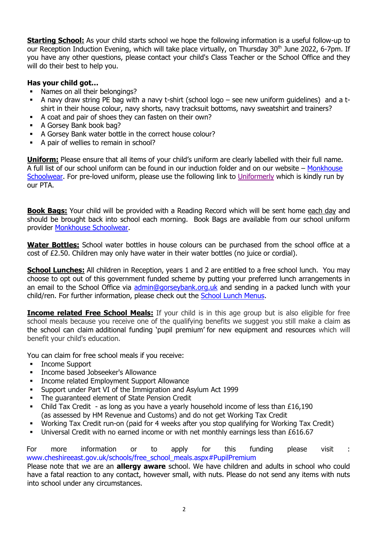**Starting School:** As your child starts school we hope the following information is a useful follow-up to our Reception Induction Evening, which will take place virtually, on Thursday 30<sup>th</sup> June 2022, 6-7pm. If you have any other questions, please contact your child's Class Teacher or the School Office and they will do their best to help you.

## **Has your child got…**

- Names on all their belongings?
- A navy draw string PE bag with a navy t-shirt (school logo see new uniform guidelines) and a tshirt in their house colour, navy shorts, navy tracksuit bottoms, navy sweatshirt and trainers?
- A coat and pair of shoes they can fasten on their own?
- A Gorsey Bank book bag?
- A Gorsey Bank water bottle in the correct house colour?
- A pair of wellies to remain in school?

**Uniform:** Please ensure that all items of your child's uniform are clearly labelled with their full name. A full list of our school uniform can be found in our induction folder and on our website – [Monkhouse](https://www.monkhouse.com/)  [Schoolwear.](https://www.monkhouse.com/) For pre-loved uniform, please use the following link to [Uniformerly](https://protect-eu.mimecast.com/s/GsFbC7nMWtVDlZh8wqDB?domain=uniformerly.co.uk) which is kindly run by our PTA.

**Book Bags:** Your child will be provided with a Reading Record which will be sent home each day and should be brought back into school each morning. Book Bags are available from our school uniform provider [Monkhouse Schoolwear.](https://www.monkhouse.com/)

**Water Bottles:** School water bottles in house colours can be purchased from the school office at a cost of £2.50. Children may only have water in their water bottles (no juice or cordial).

**School Lunches:** All children in Reception, years 1 and 2 are entitled to a free school lunch. You may choose to opt out of this government funded scheme by putting your preferred lunch arrangements in an email to the School Office via [admin@gorseybank.org.uk](mailto:admin@gorseybank.org.uk) and sending in a packed lunch with your child/ren. For further information, please check out the [School Lunch Menus.](https://www.gorseybank.org.uk/community/school-lunches/)

**Income related Free School Meals:** If your child is in this age group but is also eligible for free school meals because you receive one of the qualifying benefits we suggest you still make a claim as the school can claim [additional funding 'pupil premi](https://www.cheshireeast.gov.uk/schools/free_school_meals.aspx#PupilPremium)um' for new equipment and resources which will benefit your child's education.

You can claim for free school meals if you receive:

- Income Support
- **■** Income based Jobseeker's Allowance
- **Income related Employment Support Allowance**
- Support under Part VI of the Immigration and Asylum Act 1999
- **The quaranteed element of State Pension Credit**
- **•** Child Tax Credit as long as you have a yearly household income of less than  $£16,190$ (as assessed by HM Revenue and Customs) and do not get Working Tax Credit
- Working Tax Credit run-on (paid for 4 weeks after you stop qualifying for Working Tax Credit)
- Universal Credit with no earned income or with net monthly earnings less than £616.67

For more information or to apply for this funding please visit : [www.cheshireeast.gov.uk/schools/free\\_school\\_meals.aspx#PupilPremium](http://www.cheshireeast.gov.uk/schools/free_school_meals.aspx#PupilPremium)

Please note that we are an **allergy aware** school. We have children and adults in school who could have a fatal reaction to any contact, however small, with nuts. Please do not send any items with nuts into school under any circumstances.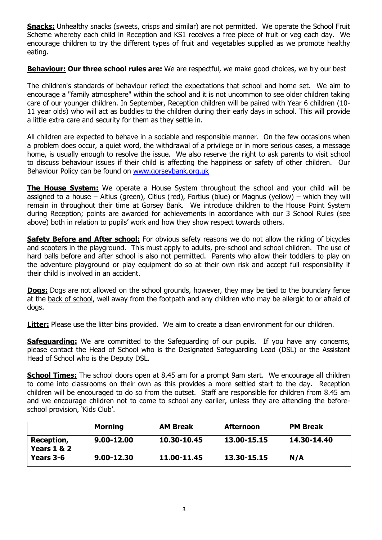**Snacks:** Unhealthy snacks (sweets, crisps and similar) are not permitted. We operate the School Fruit Scheme whereby each child in Reception and KS1 receives a free piece of fruit or veg each day. We encourage children to try the different types of fruit and vegetables supplied as we promote healthy eating.

**Behaviour: Our three school rules are:** We are respectful, we make good choices, we try our best

The children's standards of behaviour reflect the expectations that school and home set. We aim to encourage a "family atmosphere" within the school and it is not uncommon to see older children taking care of our younger children. In September, Reception children will be paired with Year 6 children (10- 11 year olds) who will act as buddies to the children during their early days in school. This will provide a little extra care and security for them as they settle in.

All children are expected to behave in a sociable and responsible manner. On the few occasions when a problem does occur, a quiet word, the withdrawal of a privilege or in more serious cases, a message home, is usually enough to resolve the issue. We also reserve the right to ask parents to visit school to discuss behaviour issues if their child is affecting the happiness or safety of other children. Our Behaviour Policy can be found on [www.gorseybank.org.uk](http://www.gorseybank.org.uk/)

**The House System:** We operate a House System throughout the school and your child will be assigned to a house – Altius (green), Citius (red), Fortius (blue) or Magnus (yellow) – which they will remain in throughout their time at Gorsey Bank. We introduce children to the House Point System during Reception; points are awarded for achievements in accordance with our 3 School Rules (see above) both in relation to pupils' work and how they show respect towards others.

**Safety Before and After school:** For obvious safety reasons we do not allow the riding of bicycles and scooters in the playground. This must apply to adults, pre-school and school children. The use of hard balls before and after school is also not permitted. Parents who allow their toddlers to play on the adventure playground or play equipment do so at their own risk and accept full responsibility if their child is involved in an accident.

**Dogs:** Dogs are not allowed on the school grounds, however, they may be tied to the boundary fence at the back of school, well away from the footpath and any children who may be allergic to or afraid of dogs.

**Litter:** Please use the litter bins provided. We aim to create a clean environment for our children.

**Safeguarding:** We are committed to the Safeguarding of our pupils. If you have any concerns, please contact the Head of School who is the Designated Safeguarding Lead (DSL) or the Assistant Head of School who is the Deputy DSL.

**School Times:** The school doors open at 8.45 am for a prompt 9am start. We encourage all children to come into classrooms on their own as this provides a more settled start to the day. Reception children will be encouraged to do so from the outset. Staff are responsible for children from 8.45 am and we encourage children not to come to school any earlier, unless they are attending the beforeschool provision, 'Kids Club'.

|                           | <b>Morning</b> | <b>AM Break</b> | <b>Afternoon</b> | <b>PM Break</b> |
|---------------------------|----------------|-----------------|------------------|-----------------|
| Reception,<br>Years 1 & 2 | $9.00 - 12.00$ | 10.30-10.45     | 13.00-15.15      | 14.30-14.40     |
| Years 3-6                 | $9.00 - 12.30$ | 11.00-11.45     | 13.30-15.15      | N/A             |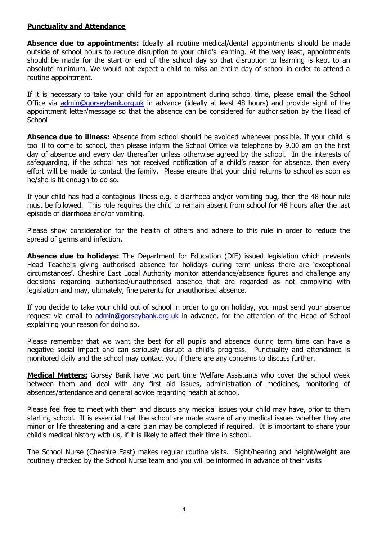#### **Punctuality and Attendance**

**Absence due to appointments:** Ideally all routine medical/dental appointments should be made outside of school hours to reduce disruption to your child's learning. At the very least, appointments should be made for the start or end of the school day so that disruption to learning is kept to an absolute minimum. We would not expect a child to miss an entire day of school in order to attend a routine appointment.

If it is necessary to take your child for an appointment during school time, please email the School Office via [admin@gorseybank.org.uk](mailto:admin@gorseybank.org.uk) in advance (ideally at least 48 hours) and provide sight of the appointment letter/message so that the absence can be considered for authorisation by the Head of **School** 

**Absence due to illness:** Absence from school should be avoided whenever possible. If your child is too ill to come to school, then please inform the School Office via telephone by 9.00 am on the first day of absence and every day thereafter unless otherwise agreed by the school. In the interests of safeguarding, if the school has not received notification of a child's reason for absence, then every effort will be made to contact the family. Please ensure that your child returns to school as soon as he/she is fit enough to do so.

If your child has had a contagious illness e.g. a diarrhoea and/or vomiting bug, then the 48-hour rule must be followed. This rule requires the child to remain absent from school for 48 hours after the last episode of diarrhoea and/or vomiting.

Please show consideration for the health of others and adhere to this rule in order to reduce the spread of germs and infection.

**Absence due to holidays:** The Department for Education (DfE) issued legislation which prevents Head Teachers giving authorised absence for holidays during term unless there are 'exceptional circumstances'. Cheshire East Local Authority monitor attendance/absence figures and challenge any decisions regarding authorised/unauthorised absence that are regarded as not complying with legislation and may, ultimately, fine parents for unauthorised absence.

If you decide to take your child out of school in order to go on holiday, you must send your absence request via email to [admin@gorseybank.org.uk](mailto:admin@gorseybank.org.uk) in advance, for the attention of the Head of School explaining your reason for doing so.

Please remember that we want the best for all pupils and absence during term time can have a negative social impact and can seriously disrupt a child's progress. Punctuality and attendance is monitored daily and the school may contact you if there are any concerns to discuss further.

**Medical Matters:** Gorsey Bank have two part time Welfare Assistants who cover the school week between them and deal with any first aid issues, administration of medicines, monitoring of absences/attendance and general advice regarding health at school.

Please feel free to meet with them and discuss any medical issues your child may have, prior to them starting school. It is essential that the school are made aware of any medical issues whether they are minor or life threatening and a care plan may be completed if required. It is important to share your child's medical history with us, if it is likely to affect their time in school.

The School Nurse (Cheshire East) makes regular routine visits. Sight/hearing and height/weight are routinely checked by the School Nurse team and you will be informed in advance of their visits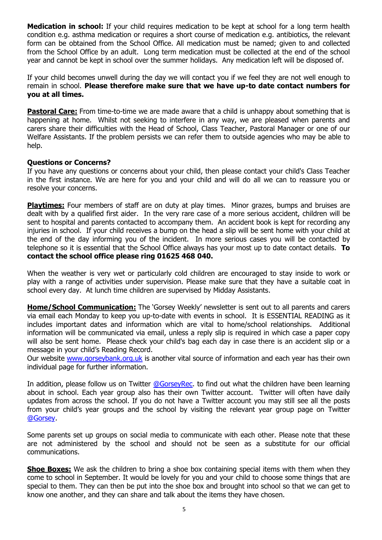**Medication in school:** If your child requires medication to be kept at school for a long term health condition e.g. asthma medication or requires a short course of medication e.g. antibiotics, the relevant form can be obtained from the School Office. All medication must be named; given to and collected from the School Office by an adult. Long term medication must be collected at the end of the school year and cannot be kept in school over the summer holidays. Any medication left will be disposed of.

If your child becomes unwell during the day we will contact you if we feel they are not well enough to remain in school. **Please therefore make sure that we have up-to date contact numbers for you at all times.**

**Pastoral Care:** From time-to-time we are made aware that a child is unhappy about something that is happening at home. Whilst not seeking to interfere in any way, we are pleased when parents and carers share their difficulties with the Head of School, Class Teacher, Pastoral Manager or one of our Welfare Assistants. If the problem persists we can refer them to outside agencies who may be able to help.

#### **Questions or Concerns?**

If you have any questions or concerns about your child, then please contact your child's Class Teacher in the first instance. We are here for you and your child and will do all we can to reassure you or resolve your concerns.

**Playtimes:** Four members of staff are on duty at play times. Minor grazes, bumps and bruises are dealt with by a qualified first aider. In the very rare case of a more serious accident, children will be sent to hospital and parents contacted to accompany them. An accident book is kept for recording any injuries in school. If your child receives a bump on the head a slip will be sent home with your child at the end of the day informing you of the incident. In more serious cases you will be contacted by telephone so it is essential that the School Office always has your most up to date contact details. **To contact the school office please ring 01625 468 040.**

When the weather is very wet or particularly cold children are encouraged to stay inside to work or play with a range of activities under supervision. Please make sure that they have a suitable coat in school every day. At lunch time children are supervised by Midday Assistants.

**Home/School Communication:** The 'Gorsey Weekly' newsletter is sent out to all parents and carers via email each Monday to keep you up-to-date with events in school. It is ESSENTIAL READING as it includes important dates and information which are vital to home/school relationships. Additional information will be communicated via email, unless a reply slip is required in which case a paper copy will also be sent home. Please check your child's bag each day in case there is an accident slip or a message in your child's Reading Record.

Our website [www.gorseybank.org.uk](http://www.gorseybank.org.uk/) is another vital source of information and each year has their own individual page for further information.

In addition, please follow us on Twitter [@GorseyRec.](https://twitter.com/GorseyRec) to find out what the children have been learning about in school. Each year group also has their own Twitter account. Twitter will often have daily updates from across the school. If you do not have a Twitter account you may still see all the posts from your child's year groups and the school by visiting the relevant year group page on Twitter [@Gorsey.](https://twitter.com/GorseyBank)

Some parents set up groups on social media to communicate with each other. Please note that these are not administered by the school and should not be seen as a substitute for our official communications.

**Shoe Boxes:** We ask the children to bring a shoe box containing special items with them when they come to school in September. It would be lovely for you and your child to choose some things that are special to them. They can then be put into the shoe box and brought into school so that we can get to know one another, and they can share and talk about the items they have chosen.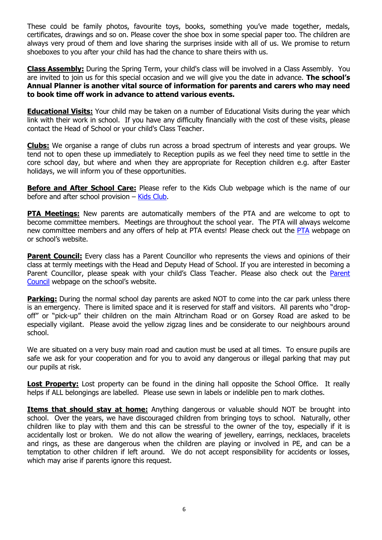These could be family photos, favourite toys, books, something you've made together, medals, certificates, drawings and so on. Please cover the shoe box in some special paper too. The children are always very proud of them and love sharing the surprises inside with all of us. We promise to return shoeboxes to you after your child has had the chance to share theirs with us.

**Class Assembly:** During the Spring Term, your child's class will be involved in a Class Assembly. You are invited to join us for this special occasion and we will give you the date in advance. **The school's Annual Planner is another vital source of information for parents and carers who may need to book time off work in advance to attend various events.** 

**Educational Visits:** Your child may be taken on a number of Educational Visits during the year which link with their work in school. If you have any difficulty financially with the cost of these visits, please contact the Head of School or your child's Class Teacher.

**Clubs:** We organise a range of clubs run across a broad spectrum of interests and year groups. We tend not to open these up immediately to Reception pupils as we feel they need time to settle in the core school day, but where and when they are appropriate for Reception children e.g. after Easter holidays, we will inform you of these opportunities.

**Before and After School Care:** Please refer to the Kids Club webpage which is the name of our before and after school provision – [Kids Club.](https://www.gorseybank.org.uk/kids-club/)

**PTA Meetings:** New parents are automatically members of the PTA and are welcome to opt to become committee members. Meetings are throughout the school year. The PTA will always welcome new committee members and any offers of help at PTA events! Please check out the [PTA](https://www.gorseybank.org.uk/community/pta-parent-council/) webpage on or school's website.

**Parent Council:** Every class has a Parent Councillor who represents the views and opinions of their class at termly meetings with the Head and Deputy Head of School. If you are interested in becoming a [Parent](https://www.gorseybank.org.uk/community/pta-parent-council/) Councillor, please speak with your child's Class Teacher. Please also check out the Parent [Council](https://www.gorseybank.org.uk/community/pta-parent-council/) webpage on the school's website.

**Parking:** During the normal school day parents are asked NOT to come into the car park unless there is an emergency. There is limited space and it is reserved for staff and visitors. All parents who "dropoff" or "pick-up" their children on the main Altrincham Road or on Gorsey Road are asked to be especially vigilant. Please avoid the yellow zigzag lines and be considerate to our neighbours around school.

We are situated on a very busy main road and caution must be used at all times. To ensure pupils are safe we ask for your cooperation and for you to avoid any dangerous or illegal parking that may put our pupils at risk.

**Lost Property:** Lost property can be found in the dining hall opposite the School Office. It really helps if ALL belongings are labelled. Please use sewn in labels or indelible pen to mark clothes.

**Items that should stay at home:** Anything dangerous or valuable should NOT be brought into school. Over the years, we have discouraged children from bringing toys to school. Naturally, other children like to play with them and this can be stressful to the owner of the toy, especially if it is accidentally lost or broken. We do not allow the wearing of jewellery, earrings, necklaces, bracelets and rings, as these are dangerous when the children are playing or involved in PE, and can be a temptation to other children if left around. We do not accept responsibility for accidents or losses, which may arise if parents ignore this request.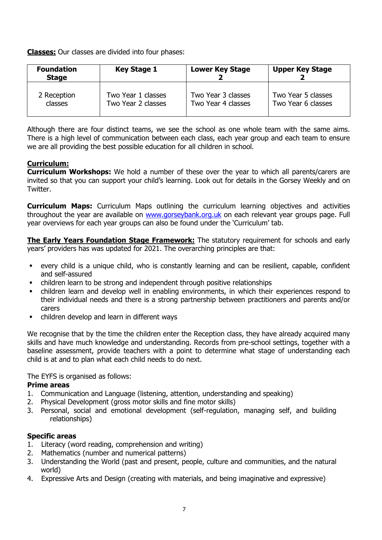**Classes:** Our classes are divided into four phases:

| <b>Foundation</b><br><b>Stage</b> | <b>Key Stage 1</b> | <b>Lower Key Stage</b> | <b>Upper Key Stage</b> |
|-----------------------------------|--------------------|------------------------|------------------------|
| 2 Reception                       | Two Year 1 classes | Two Year 3 classes     | Two Year 5 classes     |
| classes                           | Two Year 2 classes | Two Year 4 classes     | Two Year 6 classes     |

Although there are four distinct teams, we see the school as one whole team with the same aims. There is a high level of communication between each class, each year group and each team to ensure we are all providing the best possible education for all children in school.

# **Curriculum:**

**Curriculum Workshops:** We hold a number of these over the year to which all parents/carers are invited so that you can support your child's learning. Look out for details in the Gorsey Weekly and on Twitter.

**Curriculum Maps:** Curriculum Maps outlining the curriculum learning objectives and activities throughout the year are available on [www.gorseybank.org.uk](http://www.gorseybank.org.uk/) on each relevant year groups page. Full year overviews for each year groups can also be found under the 'Curriculum' tab.

**The Early Years Foundation Stage Framework:** The statutory requirement for schools and early years' providers has was updated for 2021. The overarching principles are that:

- every child is a unique child, who is constantly learning and can be resilient, capable, confident and self-assured
- children learn to be strong and independent through positive relationships
- children learn and develop well in enabling environments, in which their experiences respond to their individual needs and there is a strong partnership between practitioners and parents and/or carers
- children develop and learn in different ways

We recognise that by the time the children enter the Reception class, they have already acquired many skills and have much knowledge and understanding. Records from pre-school settings, together with a baseline assessment, provide teachers with a point to determine what stage of understanding each child is at and to plan what each child needs to do next.

The EYFS is organised as follows:

## **Prime areas**

- 1. Communication and Language (listening, attention, understanding and speaking)
- 2. Physical Development (gross motor skills and fine motor skills)
- 3. Personal, social and emotional development (self-regulation, managing self, and building relationships)

## **Specific areas**

- 1. Literacy (word reading, comprehension and writing)
- 2. Mathematics (number and numerical patterns)
- 3. Understanding the World (past and present, people, culture and communities, and the natural world)
- 4. Expressive Arts and Design (creating with materials, and being imaginative and expressive)